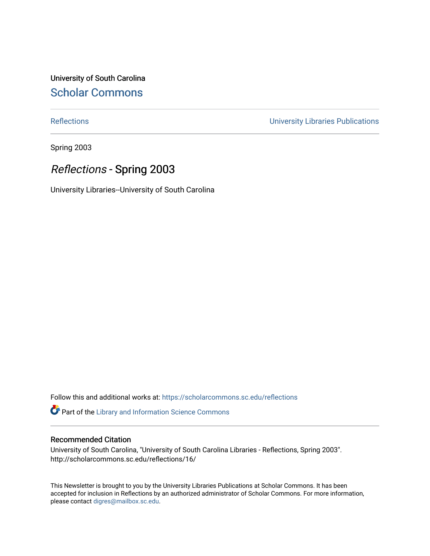University of South Carolina [Scholar Commons](https://scholarcommons.sc.edu/) 

[Reflections](https://scholarcommons.sc.edu/reflections) [University Libraries Publications](https://scholarcommons.sc.edu/lib_pubs) 

Spring 2003

### Reflections - Spring 2003

University Libraries--University of South Carolina

Follow this and additional works at: [https://scholarcommons.sc.edu/reflections](https://scholarcommons.sc.edu/reflections?utm_source=scholarcommons.sc.edu%2Freflections%2F16&utm_medium=PDF&utm_campaign=PDFCoverPages) 

Part of the [Library and Information Science Commons](http://network.bepress.com/hgg/discipline/1018?utm_source=scholarcommons.sc.edu%2Freflections%2F16&utm_medium=PDF&utm_campaign=PDFCoverPages) 

#### Recommended Citation

University of South Carolina, "University of South Carolina Libraries - Reflections, Spring 2003". http://scholarcommons.sc.edu/reflections/16/

This Newsletter is brought to you by the University Libraries Publications at Scholar Commons. It has been accepted for inclusion in Reflections by an authorized administrator of Scholar Commons. For more information, please contact [digres@mailbox.sc.edu](mailto:digres@mailbox.sc.edu).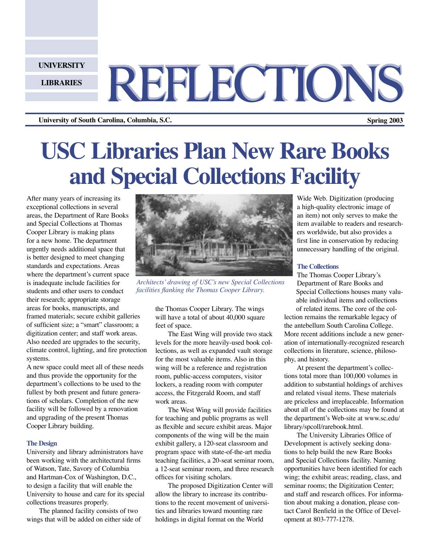**UNIVERSITY**

**LIBRARIES**

# REFLECTIONS

**University of South Carolina, Columbia, S.C. Spring 2003**

## **USC Libraries Plan New Rare Books and Special Collections Facility**

After many years of increasing its exceptional collections in several areas, the Department of Rare Books and Special Collections at Thomas Cooper Library is making plans for a new home. The department urgently needs additional space that is better designed to meet changing standards and expectations. Areas where the department's current space is inadequate include facilities for students and other users to conduct their research; appropriate storage areas for books, manuscripts, and framed materials; secure exhibit galleries of sufficient size; a "smart" classroom; a digitization center; and staff work areas. Also needed are upgrades to the security, climate control, lighting, and fire protection systems.

A new space could meet all of these needs and thus provide the opportunity for the department's collections to be used to the fullest by both present and future generations of scholars. Completion of the new facility will be followed by a renovation and upgrading of the present Thomas Cooper Library building.

#### **The Design**

University and library administrators have been working with the architectural firms of Watson, Tate, Savory of Columbia and Hartman-Cox of Washington, D.C., to design a facility that will enable the University to house and care for its special collections treasures properly.

The planned facility consists of two wings that will be added on either side of



*Architects' drawing of USC's new Special Collections facilities flanking the Thomas Cooper Library.*

the Thomas Cooper Library. The wings will have a total of about 40,000 square feet of space.

The East Wing will provide two stack levels for the more heavily-used book collections, as well as expanded vault storage for the most valuable items. Also in this wing will be a reference and registration room, public-access computers, visitor lockers, a reading room with computer access, the Fitzgerald Room, and staff work areas.

The West Wing will provide facilities for teaching and public programs as well as flexible and secure exhibit areas. Major components of the wing will be the main exhibit gallery, a 120-seat classroom and program space with state-of-the-art media teaching facilities, a 20-seat seminar room, a 12-seat seminar room, and three research offices for visiting scholars.

The proposed Digitization Center will allow the library to increase its contributions to the recent movement of universities and libraries toward mounting rare holdings in digital format on the World

Wide Web. Digitization (producing a high-quality electronic image of an item) not only serves to make the item available to readers and researchers worldwide, but also provides a first line in conservation by reducing unnecessary handling of the original.

#### **The Collections**

The Thomas Cooper Library's Department of Rare Books and Special Collections houses many valuable individual items and collections of related items. The core of the col-

lection remains the remarkable legacy of the antebellum South Carolina College. More recent additions include a new generation of internationally-recognized research collections in literature, science, philosophy, and history.

At present the department's collections total more than 100,000 volumes in addition to substantial holdings of archives and related visual items. These materials are priceless and irreplaceable. Information about all of the collections may be found at the department's Web-site at www.sc.edu/ library/spcoll/rarebook.html.

The University Libraries Office of Development is actively seeking donations to help build the new Rare Books and Special Collections facility. Naming opportunities have been identified for each wing; the exhibit areas; reading, class, and seminar rooms; the Digitization Center; and staff and research offices. For information about making a donation, please contact Carol Benfield in the Office of Development at 803-777-1278.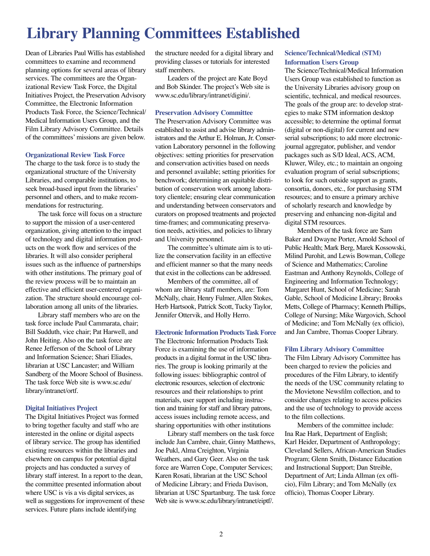### **Library Planning Committees Established**

Dean of Libraries Paul Willis has established committees to examine and recommend planning options for several areas of library services. The committees are the Organizational Review Task Force, the Digital Initiatives Project, the Preservation Advisory Committee, the Electronic Information Products Task Force, the Science/Technical/ Medical Information Users Group, and the Film Library Advisory Committee. Details of the committees' missions are given below.

#### **Organizational Review Task Force**

The charge to the task force is to study the organizational structure of the University Libraries, and comparable institutions, to seek broad-based input from the libraries' personnel and others, and to make recommendations for restructuring.

The task force will focus on a structure to support the mission of a user-centered organization, giving attention to the impact of technology and digital information products on the work flow and services of the libraries. It will also consider peripheral issues such as the influence of partnerships with other institutions. The primary goal of the review process will be to maintain an effective and efficient user-centered organization. The structure should encourage collaboration among all units of the libraries.

Library staff members who are on the task force include Paul Cammarata, chair; Bill Sudduth, vice chair; Pat Harwell, and John Heiting. Also on the task force are Renee Jefferson of the School of Library and Information Science; Shari Eliades, librarian at USC Lancaster; and William Sandberg of the Moore School of Business. The task force Web site is www.sc.edu/ library/intranet/ortf.

#### **Digital Initiatives Project**

The Digital Initiatives Project was formed to bring together faculty and staff who are interested in the online or digital aspects of library service. The group has identified existing resources within the libraries and elsewhere on campus for potential digital projects and has conducted a survey of library staff interest. In a report to the dean, the committee presented information about where USC is vis a vis digital services, as well as suggestions for improvement of these services. Future plans include identifying

the structure needed for a digital library and providing classes or tutorials for interested staff members.

Leaders of the project are Kate Boyd and Bob Skinder. The project's Web site is www.sc.edu/library/intranet/digini/.

#### **Preservation Advisory Committee**

The Preservation Advisory Committee was established to assist and advise library administrators and the Arthur E. Holman, Jr. Conservation Laboratory personnel in the following objectives: setting priorities for preservation and conservation activities based on needs and personnel available; setting priorities for benchwork; determining an equitable distribution of conservation work among laboratory clientele; ensuring clear communication and understanding between conservators and curators on proposed treatments and projected time-frames; and communicating preservation needs, activities, and policies to library and University personnel.

The committee's ultimate aim is to utilize the conservation facility in an effective and efficient manner so that the many needs that exist in the collections can be addressed.

Members of the committee, all of whom are library staff members, are: Tom McNally, chair, Henry Fulmer, Allen Stokes, Herb Hartsook, Patrick Scott, Tucky Taylor, Jennifer Ottervik, and Holly Herro.

#### **Electronic Information Products Task Force**

The Electronic Information Products Task Force is examining the use of information products in a digital format in the USC libraries. The group is looking primarily at the following issues: bibliographic control of electronic resources, selection of electronic resources and their relationships to print materials, user support including instruction and training for staff and library patrons, access issues including remote access, and sharing opportunities with other institutions

Library staff members on the task force include Jan Cambre, chair, Ginny Matthews, Joe Pukl, Alma Creighton, Virginia Weathers, and Gary Geer. Also on the task force are Warren Cope, Computer Services; Karen Rosati, librarian at the USC School of Medicine Library; and Frieda Davison, librarian at USC Spartanburg. The task force Web site is www.sc.edu/library/intranet/eiptf/.

#### **Science/Technical/Medical (STM) Information Users Group**

The Science/Technical/Medical Information Users Group was established to function as the University Libraries advisory group on scientific, technical, and medical resources. The goals of the group are: to develop strategies to make STM information desktop accessible; to determine the optimal format (digital or non-digital) for current and new serial subscriptions; to add more electronicjournal aggregator, publisher, and vendor packages such as S/D Ideal, ACS, ACM, Kluwer, Wiley, etc.; to maintain an ongoing evaluation program of serial subscriptions; to look for such outside support as grants, consortia, donors, etc., for purchasing STM resources; and to ensure a primary archive of scholarly research and knowledge by preserving and enhancing non-digital and digital STM resources.

Members of the task force are Sam Baker and Dwayne Porter, Arnold School of Public Health; Mark Berg, Marek Kossowski, Milind Purohit, and Lewis Bowman, College of Science and Mathematics; Caroline Eastman and Anthony Reynolds, College of Engineering and Information Technology; Margaret Hunt, School of Medicine; Sarah Gable, School of Medicine Library; Brooks Metts, College of Pharmacy; Kenneth Phillips, College of Nursing; Mike Wargovich, School of Medicine; and Tom McNally (ex officio), and Jan Cambre, Thomas Cooper Library.

#### **Film Library Advisory Committee**

The Film Library Advisory Committee has been charged to review the policies and procedures of the Film Library, to identify the needs of the USC community relating to the Movietone Newsfilm collection, and to consider changes relating to access policies and the use of technology to provide access to the film collections.

Members of the committee include: Ina Rae Hark, Department of English; Karl Heider, Department of Anthropology; Cleveland Sellers, African-American Studies Program; Glenn Smith, Distance Education and Instructional Support; Dan Streible, Department of Art; Linda Allman (ex officio), Film Library; and Tom McNally (ex officio), Thomas Cooper Library.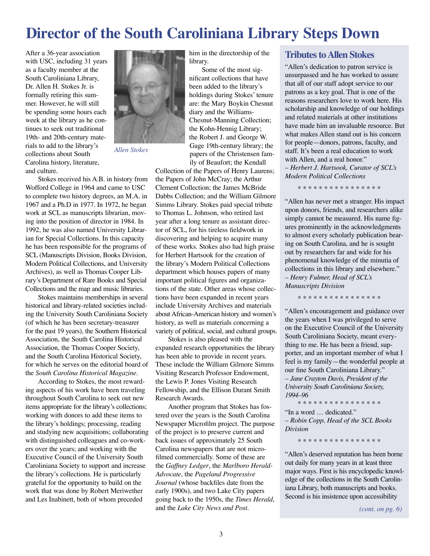### **Director of the South Caroliniana Library Steps Down**

After a 36-year association with USC, including 31 years as a faculty member at the South Caroliniana Library, Dr. Allen H. Stokes Jr. is formally retiring this summer. However, he will still be spending some hours each week at the library as he continues to seek out traditional 19th- and 20th-century materials to add to the library's collections about South Carolina history, literature, and culture.



Stokes received his A.B. in history from Wofford College in 1964 and came to USC to complete two history degrees, an M.A. in 1967 and a Ph.D in 1977. In 1972, he began work at SCL as manuscripts librarian, moving into the position of director in 1984. In 1992, he was also named University Librarian for Special Collections. In this capacity he has been responsible for the programs of SCL (Manuscripts Division, Books Division, Modern Political Collections, and University Archives), as well as Thomas Cooper Library's Department of Rare Books and Special Collections and the map and music libraries.

Stokes maintains memberships in several historical and library-related societies including the University South Caroliniana Society (of which he has been secretary-treasurer for the past 19 years), the Southern Historical Association, the South Carolina Historical Association, the Thomas Cooper Society, and the South Carolina Historical Society, for which he serves on the editorial board of the *South Carolina Historical Magazine*.

According to Stokes, the most rewarding aspects of his work have been traveling throughout South Carolina to seek out new items appropriate for the library's collections; working with donors to add these items to the library's holdings; processing, reading and studying new acquisitions; collaborating with distinguished colleagues and co-workers over the years; and working with the Executive Council of the University South Caroliniana Society to support and increase the library's collections. He is particularly grateful for the opportunity to build on the work that was done by Robert Meriwether and Les Inabinett, both of whom preceded

him in the directorship of the library.

Some of the most significant collections that have been added to the library's holdings during Stokes' tenure are: the Mary Boykin Chesnut diary and the Williams-Chesnut-Manning Collection; the Kohn-Hennig Library; the Robert J. and George W. Gage 19th-century library; the papers of the Christensen family of Beaufort; the Kendall

Collection of the Papers of Henry Laurens; the Papers of John McCray; the Arthur Clement Collection; the James McBride Dabbs Collection; and the William Gilmore Simms Library. Stokes paid special tribute to Thomas L. Johnson, who retired last year after a long tenure as assistant director of SCL, for his tireless fieldwork in

discovering and helping to acquire many of these works. Stokes also had high praise for Herbert Hartsook for the creation of the library's Modern Political Collections department which houses papers of many important political figures and organizations of the state. Other areas whose collections have been expanded in recent years include University Archives and materials about African-American history and women's history, as well as materials concerning a variety of political, social, and cultural groups.

Stokes is also pleased with the expanded research opportunities the library has been able to provide in recent years. These include the William Gilmore Simms Visiting Research Professor Endowment, the Lewis P. Jones Visiting Research Fellowship, and the Ellison Durant Smith Research Awards.

Another program that Stokes has fostered over the years is the South Carolina Newspaper Microfilm project. The purpose of the project is to preserve current and back issues of approximately 25 South Carolina newspapers that are not microfilmed commercially. Some of these are the *Gaffney Ledger*, the *Marlboro Herald-Advocate*, the *Pageland Progressive Journal* (whose backfiles date from the early 1900s), and two Lake City papers going back to the 1950s, the *Times Herald*, and the *Lake City News and Post*.

### **Tributes to Allen Stokes**

"Allen's dedication to patron service is unsurpassed and he has worked to assure that all of our staff adopt service to our patrons as a key goal. That is one of the reasons researchers love to work here. His scholarship and knowledge of our holdings and related materials at other institutions have made him an invaluable resource. But what makes Allen stand out is his concern for people—donors, patrons, faculty, and staff. It's been a real education to work with Allen, and a real honor." *– Herbert J. Hartsook, Curator of SCL's Modern Political Collections*

\* \* \* \* \* \* \* \* \* \* \* \* \* \* \* \*

"Allen has never met a stranger. His impact upon donors, friends, and researchers alike simply cannot be measured. His name figures prominently in the acknowledgments to almost every scholarly publication bearing on South Carolina, and he is sought out by researchers far and wide for his phenomenal knowledge of the minutia of collections in this library and elsewhere." *– Henry Fulmer, Head of SCL's Manuscripts Division*

\* \* \* \* \* \* \* \* \* \* \* \* \* \* \* \*

"Allen's encouragement and guidance over the years when I was privileged to serve on the Executive Council of the University South Caroliniana Society, meant everything to me. He has been a friend, supporter, and an important member of what I feel is my family—the wonderful people at our fine South Caroliniana Library." *– Jane Crayton Davis, President of the University South Caroliniana Society, 1994–96*

\* \* \* \* \* \* \* \* \* \* \* \* \* \* \* "In a word … dedicated." *– Robin Copp, Head of the SCL Books Division*

\* \* \* \* \* \* \* \* \* \* \* \* \* \* \* \*

"Allen's deserved reputation has been borne out daily for many years in at least three major ways. First is his encyclopedic knowledge of the collections in the South Caroliniana Library, both manuscripts and books. Second is his insistence upon accessibility

*(cont. on pg. 6)*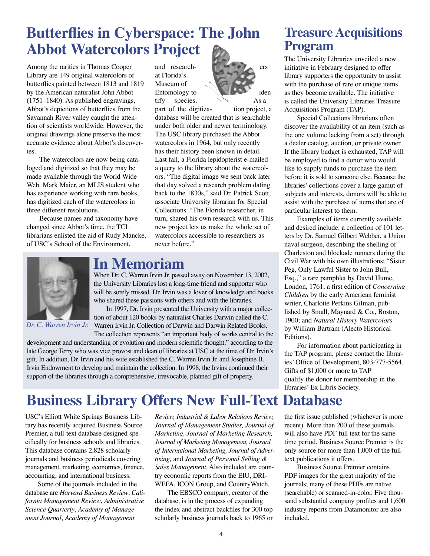### **Butterflies in Cyberspace: The John Abbot Watercolors Project**

Among the rarities in Thomas Cooper Library are 149 original watercolors of butterflies painted between 1813 and 1819 by the American naturalist John Abbot (1751–1840). As published engravings, Abbot's depictions of butterflies from the Savannah River valley caught the attention of scientists worldwide. However, the original drawings alone preserve the most accurate evidence about Abbot's discoveries.

The watercolors are now being cataloged and digitized so that they may be made available through the World Wide Web. Mark Maier, an MLIS student who has experience working with rare books, has digitized each of the watercolors in three different resolutions.

Because names and taxonomy have changed since Abbot's time, the TCL librarians enlisted the aid of Rudy Mancke, of USC's School of the Environment,

at Florida's Museum of tify species.  $\rightarrow \rightarrow$  As a



part of the digitiza- tion project, a database will be created that is searchable under both older and newer terminology. The USC library purchased the Abbot watercolors in 1964, but only recently has their history been known in detail. Last fall, a Florida lepidopterist e-mailed a query to the library about the watercolors. "The digital image we sent back later that day solved a research problem dating back to the 1830s," said Dr. Patrick Scott, associate University librarian for Special Collections. "The Florida researcher, in turn, shared his own research with us. This new project lets us make the whole set of watercolors accessible to researchers as never before."



*Dr. C. Warren Irvin Jr.*

### **In Memoriam**

When Dr. C. Warren Irvin Jr. passed away on November 13, 2002, the University Libraries lost a long-time friend and supporter who will be sorely missed. Dr. Irvin was a lover of knowledge and books who shared these passions with others and with the libraries.

In 1997, Dr. Irvin presented the University with a major collection of about 120 books by naturalist Charles Darwin called the C. Warren Irvin Jr. Collection of Darwin and Darwin Related Books.

The collection represents "an important body of works central to the development and understanding of evolution and modern scientific thought," according to the late George Terry who was vice provost and dean of libraries at USC at the time of Dr. Irvin's gift. In addition, Dr. Irvin and his wife established the C. Warren Irvin Jr. and Josephine B. Irvin Endowment to develop and maintain the collection. In 1998, the Irvins continued their support of the libraries through a comprehensive, irrevocable, planned gift of property.

### **Treasure Acquisitions Program**

The University Libraries unveiled a new initiative in February designed to offer library supporters the opportunity to assist with the purchase of rare or unique items as they become available. The initiative is called the University Libraries Treasure Acquisitions Program (TAP).

Special Collections librarians often discover the availability of an item (such as the one volume lacking from a set) through a dealer catalog, auction, or private owner. If the library budget is exhausted, TAP will be employed to find a donor who would like to supply funds to purchase the item before it is sold to someone else. Because the libraries' collections cover a large gamut of subjects and interests, donors will be able to assist with the purchase of items that are of particular interest to them.

Examples of items currently available and desired include: a collection of 101 letters by Dr. Samuel Gilbert Webber, a Union naval surgeon, describing the shelling of Charleston and blockade runners during the Civil War with his own illustrations; "Sister Peg, Only Lawful Sister to John Bull, Esq.," a rare pamphlet by David Hume, London, 1761; a first edition of *Concerning Children* by the early American feminist writer, Charlotte Perkins Gilman, published by Small, Maynard & Co., Boston, 1900; and *Natural History Watercolors* by William Bartram (Alecto Historical Editions).

For information about participating in the TAP program, please contact the libraries' Office of Development, 803-777-5564. Gifts of \$1,000 or more to TAP qualify the donor for membership in the libraries' Ex Libris Society.

### **Business Library Offers New Full-Text Database**

USC's Elliott White Springs Business Library has recently acquired Business Source Premier, a full-text database designed specifically for business schools and libraries. This database contains 2,828 scholarly journals and business periodicals covering management, marketing, economics, finance, accounting, and international business.

Some of the journals included in the database are *Harvard Business Review*, *California Management Review*, *Administrative Science Quarterly*, *Academy of Management Journal*, *Academy of Management* 

*Review, Industrial & Labor Relations Review, Journal of Management Studies, Journal of Marketing, Journal of Marketing Research, Journal of Marketing Management, Journal of International Marketing, Journal of Advertising,* and *Journal of Personal Selling & Sales Management.* Also included are country economic reports from the EIU, DRI-WEFA, ICON Group, and CountryWatch.

The EBSCO company, creator of the database, is in the process of expanding the index and abstract backfiles for 300 top scholarly business journals back to 1965 or

the first issue published (whichever is more recent). More than 200 of these journals will also have PDF full text for the same time period. Business Source Premier is the only source for more than 1,000 of the fulltext publications it offers.

Business Source Premier contains PDF images for the great majority of the journals; many of these PDFs are native (searchable) or scanned-in-color. Five thousand substantial company profiles and 1,600 industry reports from Datamonitor are also included.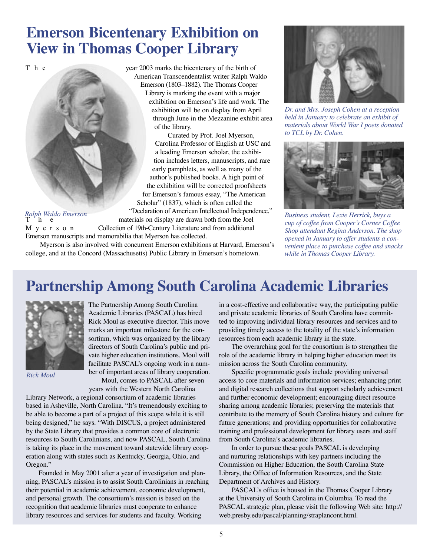### **Emerson Bicentenary Exhibition on View in Thomas Cooper Library**

T h e year 2003 marks the bicentenary of the birth of

### *Ralph Waldo Emerson*

American Transcendentalist writer Ralph Waldo Emerson (1803–1882). The Thomas Cooper Library is marking the event with a major exhibition on Emerson's life and work. The exhibition will be on display from April through June in the Mezzanine exhibit area of the library. Curated by Prof. Joel Myerson,

Carolina Professor of English at USC and a leading Emerson scholar, the exhibition includes letters, manuscripts, and rare early pamphlets, as well as many of the author's published books. A high point of the exhibition will be corrected proofsheets for Emerson's famous essay, "The American Scholar" (1837), which is often called the "Declaration of American Intellectual Independence." materials on display are drawn both from the Joel M y e r s o n Collection of 19th-Century Literature and from additional

Emerson manuscripts and memorabilia that Myerson has collected.

 Myerson is also involved with concurrent Emerson exhibitions at Harvard, Emerson's college, and at the Concord (Massachusetts) Public Library in Emerson's hometown.



*Dr. and Mrs. Joseph Cohen at a reception held in January to celebrate an exhibit of materials about World War I poets donated to TCL by Dr. Cohen.*



*Business student, Lexie Herrick, buys a cup of coffee from Cooper's Corner Coffee Shop attendant Regina Anderson. The shop opened in January to offer students a convenient place to purchase coffee and snacks while in Thomas Cooper Library.*

### **Partnership Among South Carolina Academic Libraries**



*Rick Moul*

The Partnership Among South Carolina Academic Libraries (PASCAL) has hired Rick Moul as executive director. This move marks an important milestone for the consortium, which was organized by the library directors of South Carolina's public and private higher education institutions. Moul will facilitate PASCAL's ongoing work in a number of important areas of library cooperation. Moul, comes to PASCAL after seven

years with the Western North Carolina

Library Network, a regional consortium of academic libraries based in Asheville, North Carolina. "It's tremendously exciting to be able to become a part of a project of this scope while it is still being designed," he says. "With DISCUS, a project administered by the State Library that provides a common core of electronic resources to South Carolinians, and now PASCAL, South Carolina is taking its place in the movement toward statewide library cooperation along with states such as Kentucky, Georgia, Ohio, and Oregon."

Founded in May 2001 after a year of investigation and planning, PASCAL's mission is to assist South Carolinians in reaching their potential in academic achievement, economic development, and personal growth. The consortium's mission is based on the recognition that academic libraries must cooperate to enhance library resources and services for students and faculty. Working

in a cost-effective and collaborative way, the participating public and private academic libraries of South Carolina have committed to improving individual library resources and services and to providing timely access to the totality of the state's information resources from each academic library in the state.

The overarching goal for the consortium is to strengthen the role of the academic library in helping higher education meet its mission across the South Carolina community.

Specific programmatic goals include providing universal access to core materials and information services; enhancing print and digital research collections that support scholarly achievement and further economic development; encouraging direct resource sharing among academic libraries; preserving the materials that contribute to the memory of South Carolina history and culture for future generations; and providing opportunities for collaborative training and professional development for library users and staff from South Carolina's academic libraries.

In order to pursue these goals PASCAL is developing and nurturing relationships with key partners including the Commission on Higher Education, the South Carolina State Library, the Office of Information Resources, and the State Department of Archives and History.

PASCAL's office is housed in the Thomas Cooper Library at the University of South Carolina in Columbia. To read the PASCAL strategic plan, please visit the following Web site: http:// web.presby.edu/pascal/planning/straplancont.html.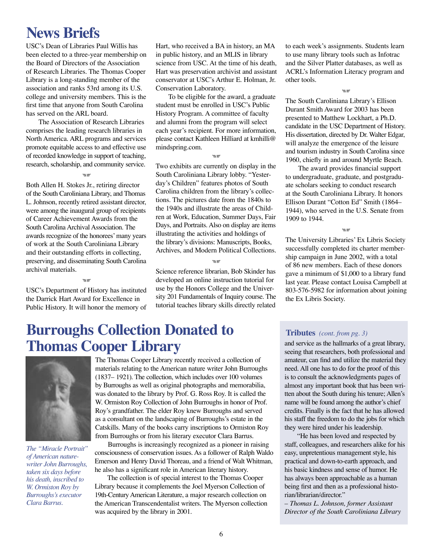### **News Briefs**

USC's Dean of Libraries Paul Willis has been elected to a three-year membership on the Board of Directors of the Association of Research Libraries. The Thomas Cooper Library is a long-standing member of the association and ranks 53rd among its U.S. college and university members. This is the first time that anyone from South Carolina has served on the ARL board.

The Association of Research Libraries comprises the leading research libraries in North America. ARL programs and services promote equitable access to and effective use of recorded knowledge in support of teaching, research, scholarship, and community service.

#### シーズ

Both Allen H. Stokes Jr., retiring director of the South Caroliniana Library, and Thomas L. Johnson, recently retired assistant director, were among the inaugural group of recipients of Career Achievement Awards from the South Carolina Archival Association. The awards recognize of the honorees' many years of work at the South Caroliniana Library and their outstanding efforts in collecting, preserving, and disseminating South Carolina archival materials.

-<br>জান্তু

USC's Department of History has instituted the Darrick Hart Award for Excellence in Public History. It will honor the memory of

Hart, who received a BA in history, an MA in public history, and an MLIS in library science from USC. At the time of his death, Hart was preservation archivist and assistant conservator at USC's Arthur E. Holman, Jr. Conservation Laboratory.

To be eligible for the award, a graduate student must be enrolled in USC's Public History Program. A committee of faculty and alumni from the program will select each year's recipient. For more information, please contact Kathleen Hilliard at kmhilli@ mindspring.com.

**SIR** 

Two exhibits are currently on display in the South Caroliniana Library lobby. "Yesterday's Children" features photos of South Carolina children from the library's collections. The pictures date from the 1840s to the 1940s and illustrate the areas of Children at Work, Education, Summer Days, Fair Days, and Portraits. Also on display are items illustrating the activities and holdings of the library's divisions: Manuscripts, Books, Archives, and Modern Political Collections.

ダベ

Science reference librarian, Bob Skinder has developed an online instruction tutorial for use by the Honors College and the University 201 Fundamentals of Inquiry course. The tutorial teaches library skills directly related to each week's assignments. Students learn to use many library tools such as Infotrac and the Silver Platter databases, as well as ACRL's Information Literacy program and other tools.

#### en<br>Vi

The South Caroliniana Library's Ellison Durant Smith Award for 2003 has been presented to Matthew Lockhart, a Ph.D. candidate in the USC Department of History. His dissertation, directed by Dr. Walter Edgar, will analyze the emergence of the leisure and tourism industry in South Carolina since 1960, chiefly in and around Myrtle Beach.

The award provides financial support to undergraduate, graduate, and postgraduate scholars seeking to conduct research at the South Caroliniana Library. It honors Ellison Durant "Cotton Ed" Smith (1864– 1944), who served in the U.S. Senate from 1909 to 1944.

**sile** 

The University Libraries' Ex Libris Society successfully completed its charter membership campaign in June 2002, with a total of 86 new members. Each of these donors gave a minimum of \$1,000 to a library fund last year. Please contact Louisa Campbell at 803-576-5982 for information about joining the Ex Libris Society.

### **Burroughs Collection Donated to Thomas Cooper Library**



*The "Miracle Portrait" of American naturewriter John Burroughs, taken six days before his death, inscribed to W. Ormiston Roy by Burroughs's executor Clara Barrus.*

The Thomas Cooper Library recently received a collection of materials relating to the American nature writer John Burroughs (1837– 1921). The collection, which includes over 100 volumes by Burroughs as well as original photographs and memorabilia, was donated to the library by Prof. G. Ross Roy. It is called the W. Ormiston Roy Collection of John Burroughs in honor of Prof. Roy's grandfather. The elder Roy knew Burroughs and served as a consultant on the landscaping of Burroughs's estate in the Catskills. Many of the books carry inscriptions to Ormiston Roy from Burroughs or from his literary executor Clara Barrus.

Burroughs is increasingly recognized as a pioneer in raising consciousness of conservation issues. As a follower of Ralph Waldo Emerson and Henry David Thoreau, and a friend of Walt Whitman, he also has a significant role in American literary history.

The collection is of special interest to the Thomas Cooper Library because it complements the Joel Myerson Collection of 19th-Century American Literature, a major research collection on the American Transcendentalist writers. The Myerson collection was acquired by the library in 2001.

#### **Tributes** *(cont. from pg. 3)*

and service as the hallmarks of a great library, seeing that researchers, both professional and amateur, can find and utilize the material they need. All one has to do for the proof of this is to consult the acknowledgments pages of almost any important book that has been written about the South during his tenure; Allen's name will be found among the author's chief credits. Finally is the fact that he has allowed his staff the freedom to do the jobs for which they were hired under his leadership.

"He has been loved and respected by staff, colleagues, and researchers alike for his easy, unpretentious management style, his practical and down-to-earth approach, and his basic kindness and sense of humor. He has always been approachable as a human being first and then as a professional historian/librarian/director."

*– Thomas L. Johnson, former Assistant Director of the South Caroliniana Library*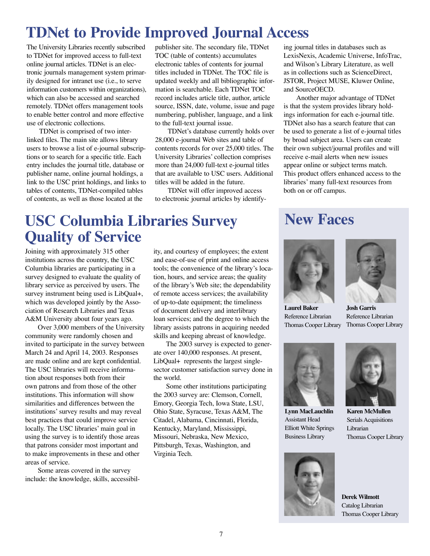### **TDNet to Provide Improved Journal Access**

The University Libraries recently subscribed to TDNet for improved access to full-text online journal articles. TDNet is an electronic journals management system primarily designed for intranet use (i.e., to serve information customers within organizations), which can also be accessed and searched remotely. TDNet offers management tools to enable better control and more effective use of electronic collections.

TDNet is comprised of two interlinked files. The main site allows library users to browse a list of e-journal subscriptions or to search for a specific title. Each entry includes the journal title, database or publisher name, online journal holdings, a link to the USC print holdings, and links to tables of contents, TDNet-compiled tables of contents, as well as those located at the

publisher site. The secondary file, TDNet TOC (table of contents) accumulates electronic tables of contents for journal titles included in TDNet. The TOC file is updated weekly and all bibliographic information is searchable. Each TDNet TOC record includes article title, author, article source, ISSN, date, volume, issue and page numbering, publisher, language, and a link to the full-text journal issue.

TDNet's database currently holds over 28,000 e-journal Web sites and table of contents records for over 25,000 titles. The University Libraries' collection comprises more than 24,000 full-text e-journal titles that are available to USC users. Additional titles will be added in the future.

TDNet will offer improved access to electronic journal articles by identifying journal titles in databases such as LexisNexis, Academic Universe, InfoTrac, and Wilson's Library Literature, as well as in collections such as ScienceDirect, JSTOR, Project MUSE, Kluwer Online, and SourceOECD.

Another major advantage of TDNet is that the system provides library holdings information for each e-journal title. TDNet also has a search feature that can be used to generate a list of e-journal titles by broad subject area. Users can create their own subject/journal profiles and will receive e-mail alerts when new issues appear online or subject terms match. This product offers enhanced access to the libraries' many full-text resources from both on or off campus.

### **USC Columbia Libraries Survey Quality of Service**

Joining with approximately 315 other institutions across the country, the USC Columbia libraries are participating in a survey designed to evaluate the quality of library service as perceived by users. The survey instrument being used is LibQual+, which was developed jointly by the Association of Research Libraries and Texas A&M University about four years ago.

Over 3,000 members of the University community were randomly chosen and invited to participate in the survey between March 24 and April 14, 2003. Responses are made online and are kept confidential. The USC libraries will receive information about responses both from their own patrons and from those of the other institutions. This information will show similarities and differences between the institutions' survey results and may reveal best practices that could improve service locally. The USC libraries' main goal in using the survey is to identify those areas that patrons consider most important and to make improvements in these and other areas of service.

Some areas covered in the survey include: the knowledge, skills, accessibility, and courtesy of employees; the extent and ease-of-use of print and online access tools; the convenience of the library's location, hours, and service areas; the quality of the library's Web site; the dependability of remote access services; the availability of up-to-date equipment; the timeliness of document delivery and interlibrary loan services; and the degree to which the library assists patrons in acquiring needed skills and keeping abreast of knowledge.

The 2003 survey is expected to generate over 140,000 responses. At present, LibQual+ represents the largest singlesector customer satisfaction survey done in the world.

Some other institutions participating the 2003 survey are: Clemson, Cornell, Emory, Georgia Tech, Iowa State, LSU, Ohio State, Syracuse, Texas A&M, The Citadel, Alabama, Cincinnati, Florida, Kentucky, Maryland, Mississippi, Missouri, Nebraska, New Mexico, Pittsburgh, Texas, Washington, and Virginia Tech.

### **New Faces**



**Laurel Baker** Reference Librarian Thomas Cooper Library



**Josh Garris** Reference Librarian Thomas Cooper Library



**Lynn MacLauchlin** Assistant Head Elliott White Springs Business Library





**Karen McMullen** Serials Acquisitions Librarian Thomas Cooper Library

**Derek Wilmott** Catalog Librarian Thomas Cooper Library